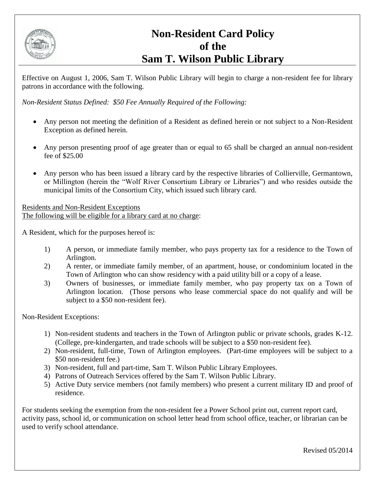

## **Non-Resident Card Policy of the Sam T. Wilson Public Library**

Effective on August 1, 2006, Sam T. Wilson Public Library will begin to charge a non-resident fee for library patrons in accordance with the following.

*Non-Resident Status Defined: \$50 Fee Annually Required of the Following:*

- Any person not meeting the definition of a Resident as defined herein or not subject to a Non-Resident Exception as defined herein.
- Any person presenting proof of age greater than or equal to 65 shall be charged an annual non-resident fee of \$25.00
- Any person who has been issued a library card by the respective libraries of Collierville, Germantown, or Millington (herein the "Wolf River Consortium Library or Libraries") and who resides outside the municipal limits of the Consortium City, which issued such library card.

Residents and Non-Resident Exceptions The following will be eligible for a library card at no charge:

A Resident, which for the purposes hereof is:

- 1) A person, or immediate family member, who pays property tax for a residence to the Town of Arlington.
- 2) A renter, or immediate family member, of an apartment, house, or condominium located in the Town of Arlington who can show residency with a paid utility bill or a copy of a lease.
- 3) Owners of businesses, or immediate family member, who pay property tax on a Town of Arlington location. (Those persons who lease commercial space do not qualify and will be subject to a \$50 non-resident fee).

Non-Resident Exceptions:

- 1) Non-resident students and teachers in the Town of Arlington public or private schools, grades K-12. (College, pre-kindergarten, and trade schools will be subject to a \$50 non-resident fee).
- 2) Non-resident, full-time, Town of Arlington employees. (Part-time employees will be subject to a \$50 non-resident fee.)
- 3) Non-resident, full and part-time, Sam T. Wilson Public Library Employees.
- 4) Patrons of Outreach Services offered by the Sam T. Wilson Public Library.
- 5) Active Duty service members (not family members) who present a current military ID and proof of residence.

For students seeking the exemption from the non-resident fee a Power School print out, current report card, activity pass, school id, or communication on school letter head from school office, teacher, or librarian can be used to verify school attendance.

Revised 05/2014